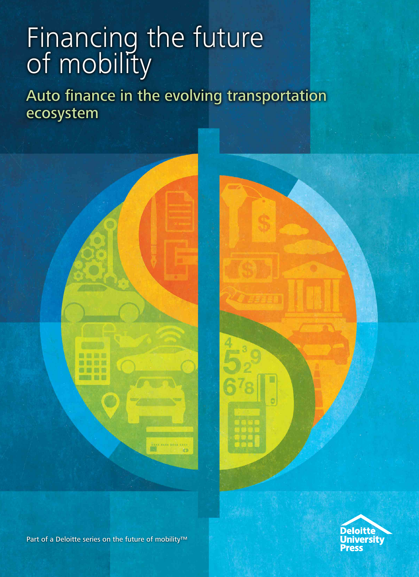# Financing the future of mobility

Auto finance in the evolving transportation ecosystem





Part of a Deloitte series on the future of mobility™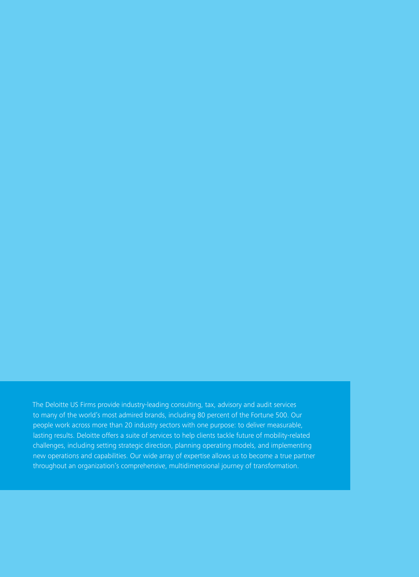The Deloitte US Firms provide industry-leading consulting, tax, advisory and audit services to many of the world's most admired brands, including 80 percent of the Fortune 500. Our people work across more than 20 industry sectors with one purpose: to deliver measurable, lasting results. Deloitte offers a suite of services to help clients tackle future of mobility-related challenges, including setting strategic direction, planning operating models, and implementing new operations and capabilities. Our wide array of expertise allows us to become a true partner throughout an organization's comprehensive, multidimensional journey of transformation.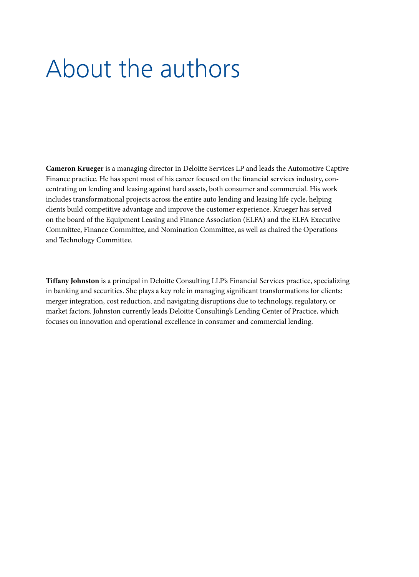## About the authors

**Cameron Krueger** is a managing director in Deloitte Services LP and leads the Automotive Captive Finance practice. He has spent most of his career focused on the financial services industry, concentrating on lending and leasing against hard assets, both consumer and commercial. His work includes transformational projects across the entire auto lending and leasing life cycle, helping clients build competitive advantage and improve the customer experience. Krueger has served on the board of the Equipment Leasing and Finance Association (ELFA) and the ELFA Executive Committee, Finance Committee, and Nomination Committee, as well as chaired the Operations and Technology Committee.

**Tiffany Johnston** is a principal in Deloitte Consulting LLP's Financial Services practice, specializing in banking and securities. She plays a key role in managing significant transformations for clients: merger integration, cost reduction, and navigating disruptions due to technology, regulatory, or market factors. Johnston currently leads Deloitte Consulting's Lending Center of Practice, which focuses on innovation and operational excellence in consumer and commercial lending.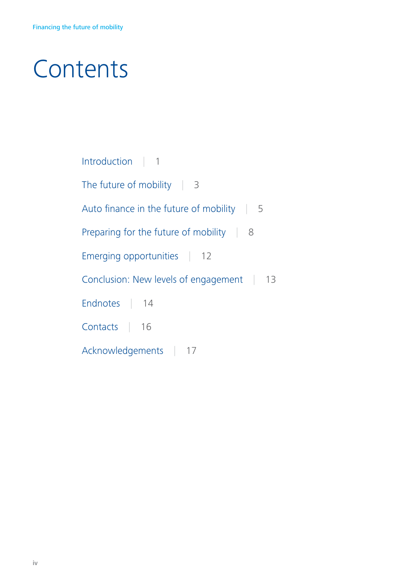## **Contents**

| Introduction   1                                   |
|----------------------------------------------------|
| The future of mobility $\vert$ 3                   |
| Auto finance in the future of mobility   5         |
| Preparing for the future of mobility $\parallel$ 8 |
| Emerging opportunities   12                        |
| Conclusion: New levels of engagement 13            |
| Endnotes   14                                      |
| Contacts   16                                      |
| Acknowledgements   17                              |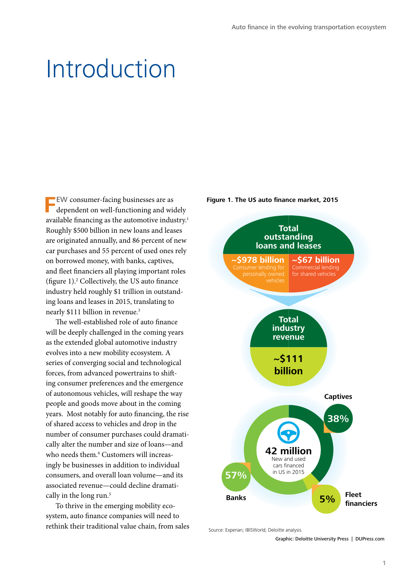### Introduction

**FEW** consumer-facing businesses are as dependent on well-functioning and widely available financing as the automotive industry.<sup>1</sup> Roughly \$500 billion in new loans and leases are originated annually, and 86 percent of new car purchases and 55 percent of used ones rely on borrowed money, with banks, captives, and fleet financiers all playing important roles (figure 1).2 Collectively, the US auto finance industry held roughly \$1 trillion in outstanding loans and leases in 2015, translating to nearly \$111 billion in revenue.<sup>3</sup>

The well-established role of auto finance will be deeply challenged in the coming years as the extended global automotive industry evolves into a new mobility ecosystem. A series of converging social and technological forces, from advanced powertrains to shifting consumer preferences and the emergence of autonomous vehicles, will reshape the way people and goods move about in the coming years. Most notably for auto financing, the rise of shared access to vehicles and drop in the number of consumer purchases could dramatically alter the number and size of loans—and who needs them.4 Customers will increasingly be businesses in addition to individual consumers, and overall loan volume—and its associated revenue—could decline dramatically in the long run.<sup>5</sup>

To thrive in the emerging mobility ecosystem, auto finance companies will need to rethink their traditional value chain, from sales





Source: Experian; IBISWorld; Deloitte analysis.

Graphic: Deloitte University Press | DUPress.com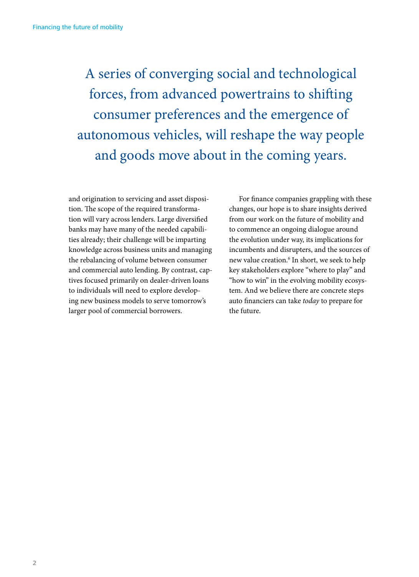A series of converging social and technological forces, from advanced powertrains to shifting consumer preferences and the emergence of autonomous vehicles, will reshape the way people and goods move about in the coming years.

and origination to servicing and asset disposition. The scope of the required transformation will vary across lenders. Large diversified banks may have many of the needed capabilities already; their challenge will be imparting knowledge across business units and managing the rebalancing of volume between consumer and commercial auto lending. By contrast, captives focused primarily on dealer-driven loans to individuals will need to explore developing new business models to serve tomorrow's larger pool of commercial borrowers.

For finance companies grappling with these changes, our hope is to share insights derived from our work on the future of mobility and to commence an ongoing dialogue around the evolution under way, its implications for incumbents and disrupters, and the sources of new value creation.6 In short, we seek to help key stakeholders explore "where to play" and "how to win" in the evolving mobility ecosystem. And we believe there are concrete steps auto financiers can take *today* to prepare for the future.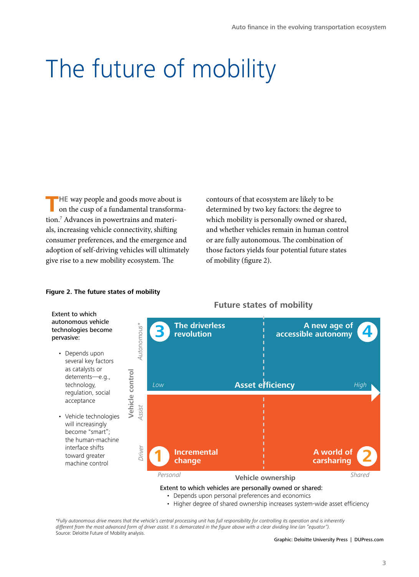# The future of mobility

THE way people and goods move about is on the cusp of a fundamental transformation.7 Advances in powertrains and materials, increasing vehicle connectivity, shifting consumer preferences, and the emergence and adoption of self-driving vehicles will ultimately give rise to a new mobility ecosystem. The

**Figure 2. The future states of mobility**

Extent to which autonomous vehicle

• Depends upon

as catalysts or deterrents—e.g., technology, regulation, social acceptance

will increasingly become "smart";

interface shifts toward greater machine control

pervasive:

contours of that ecosystem are likely to be determined by two key factors: the degree to which mobility is personally owned or shared, and whether vehicles remain in human control or are fully autonomous. The combination of those factors yields four potential future states of mobility (figure 2).



#### **Future states of mobility**

- Depends upon personal preferences and economics
- Higher degree of shared ownership increases system-wide asset efficiency

*\*Fully autonomous drive means that the vehicle's central processing unit has full responsibility for controlling its operation and is inherently different from the most advanced form of driver assist. It is demarcated in the figure above with a clear dividing line (an "equator").* Source: Deloitte Future of Mobility analysis.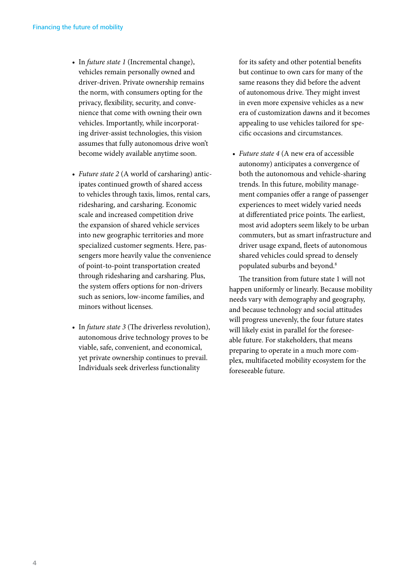- In *future state 1* (Incremental change), vehicles remain personally owned and driver-driven. Private ownership remains the norm, with consumers opting for the privacy, flexibility, security, and convenience that come with owning their own vehicles. Importantly, while incorporating driver-assist technologies, this vision assumes that fully autonomous drive won't become widely available anytime soon.
- *Future state 2* (A world of carsharing) anticipates continued growth of shared access to vehicles through taxis, limos, rental cars, ridesharing, and carsharing. Economic scale and increased competition drive the expansion of shared vehicle services into new geographic territories and more specialized customer segments. Here, passengers more heavily value the convenience of point-to-point transportation created through ridesharing and carsharing. Plus, the system offers options for non-drivers such as seniors, low-income families, and minors without licenses.
- In *future state 3* (The driverless revolution), autonomous drive technology proves to be viable, safe, convenient, and economical, yet private ownership continues to prevail. Individuals seek driverless functionality

for its safety and other potential benefits but continue to own cars for many of the same reasons they did before the advent of autonomous drive. They might invest in even more expensive vehicles as a new era of customization dawns and it becomes appealing to use vehicles tailored for specific occasions and circumstances.

• *Future state 4* (A new era of accessible autonomy) anticipates a convergence of both the autonomous and vehicle-sharing trends. In this future, mobility management companies offer a range of passenger experiences to meet widely varied needs at differentiated price points. The earliest, most avid adopters seem likely to be urban commuters, but as smart infrastructure and driver usage expand, fleets of autonomous shared vehicles could spread to densely populated suburbs and beyond.<sup>8</sup>

The transition from future state 1 will not happen uniformly or linearly. Because mobility needs vary with demography and geography, and because technology and social attitudes will progress unevenly, the four future states will likely exist in parallel for the foreseeable future. For stakeholders, that means preparing to operate in a much more complex, multifaceted mobility ecosystem for the foreseeable future.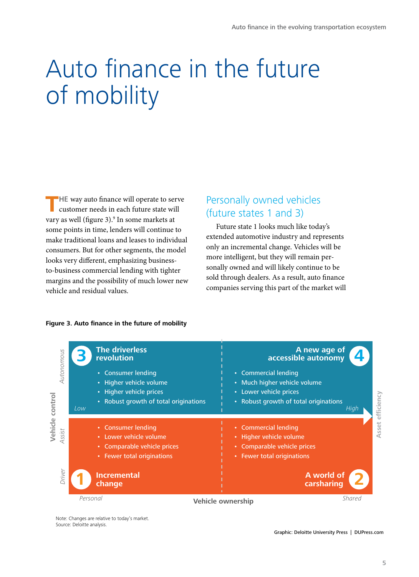# Auto finance in the future of mobility

**THE way auto finance will operate to serve customer needs in each future state will** vary as well (figure 3).<sup>9</sup> In some markets at some points in time, lenders will continue to make traditional loans and leases to individual consumers. But for other segments, the model looks very different, emphasizing businessto-business commercial lending with tighter margins and the possibility of much lower new vehicle and residual values.

### Personally owned vehicles (future states 1 and 3)

Future state 1 looks much like today's extended automotive industry and represents only an incremental change. Vehicles will be more intelligent, but they will remain personally owned and will likely continue to be sold through dealers. As a result, auto finance companies serving this part of the market will



#### **Figure 3. Auto finance in the future of mobility**

Note: Changes are relative to today's market. Source: Deloitte analysis.

Graphic: Deloitte University Press | DUPress.com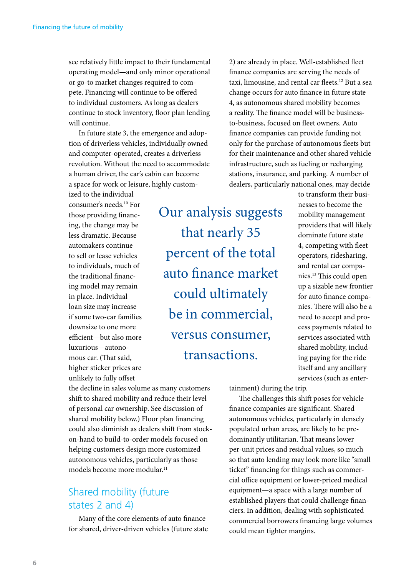see relatively little impact to their fundamental operating model—and only minor operational or go-to market changes required to compete. Financing will continue to be offered to individual customers. As long as dealers continue to stock inventory, floor plan lending will continue.

In future state 3, the emergence and adoption of driverless vehicles, individually owned and computer-operated, creates a driverless revolution. Without the need to accommodate a human driver, the car's cabin can become a space for work or leisure, highly custom-

ized to the individual consumer's needs.10 For those providing financing, the change may be less dramatic. Because automakers continue to sell or lease vehicles to individuals, much of the traditional financing model may remain in place. Individual loan size may increase if some two-car families downsize to one more efficient—but also more luxurious—autonomous car. (That said, higher sticker prices are unlikely to fully offset

Our analysis suggests that nearly 35 percent of the total auto finance market could ultimately be in commercial, versus consumer, transactions.

2) are already in place. Well-established fleet finance companies are serving the needs of taxi, limousine, and rental car fleets.<sup>12</sup> But a sea change occurs for auto finance in future state 4, as autonomous shared mobility becomes a reality. The finance model will be businessto-business, focused on fleet owners. Auto finance companies can provide funding not only for the purchase of autonomous fleets but for their maintenance and other shared vehicle infrastructure, such as fueling or recharging stations, insurance, and parking. A number of dealers, particularly national ones, may decide

> to transform their businesses to become the mobility management providers that will likely dominate future state 4, competing with fleet operators, ridesharing, and rental car companies.13 This could open up a sizable new frontier for auto finance companies. There will also be a need to accept and process payments related to services associated with shared mobility, including paying for the ride itself and any ancillary services (such as enter-

tainment) during the trip.

The challenges this shift poses for vehicle finance companies are significant. Shared autonomous vehicles, particularly in densely populated urban areas, are likely to be predominantly utilitarian. That means lower per-unit prices and residual values, so much so that auto lending may look more like "small ticket" financing for things such as commercial office equipment or lower-priced medical equipment—a space with a large number of established players that could challenge financiers. In addition, dealing with sophisticated commercial borrowers financing large volumes could mean tighter margins.

the decline in sales volume as many customers shift to shared mobility and reduce their level of personal car ownership. See discussion of shared mobility below.) Floor plan financing could also diminish as dealers shift from stockon-hand to build-to-order models focused on helping customers design more customized autonomous vehicles, particularly as those models become more modular.<sup>11</sup>

### Shared mobility (future states 2 and 4)

Many of the core elements of auto finance for shared, driver-driven vehicles (future state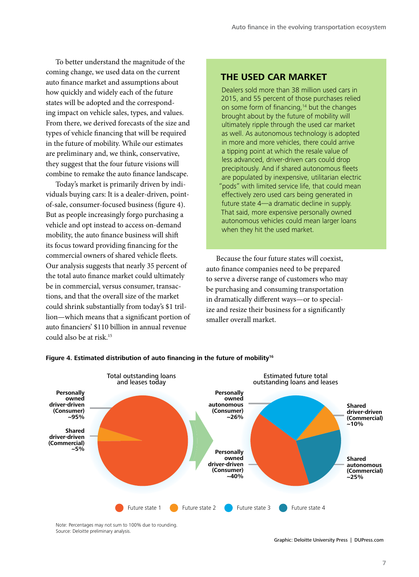To better understand the magnitude of the coming change, we used data on the current auto finance market and assumptions about how quickly and widely each of the future states will be adopted and the corresponding impact on vehicle sales, types, and values. From there, we derived forecasts of the size and types of vehicle financing that will be required in the future of mobility. While our estimates are preliminary and, we think, conservative, they suggest that the four future visions will combine to remake the auto finance landscape.

Today's market is primarily driven by individuals buying cars: It is a dealer-driven, pointof-sale, consumer-focused business (figure 4). But as people increasingly forgo purchasing a vehicle and opt instead to access on-demand mobility, the auto finance business will shift its focus toward providing financing for the commercial owners of shared vehicle fleets. Our analysis suggests that nearly 35 percent of the total auto finance market could ultimately be in commercial, versus consumer, transactions, and that the overall size of the market could shrink substantially from today's \$1 trillion—which means that a significant portion of auto financiers' \$110 billion in annual revenue could also be at risk.15

#### **THE USED CAR MARKET**

Dealers sold more than 38 million used cars in 2015, and 55 percent of those purchases relied on some form of financing,<sup>14</sup> but the changes brought about by the future of mobility will ultimately ripple through the used car market as well. As autonomous technology is adopted in more and more vehicles, there could arrive a tipping point at which the resale value of less advanced, driver-driven cars could drop precipitously. And if shared autonomous fleets are populated by inexpensive, utilitarian electric "pods" with limited service life, that could mean effectively zero used cars being generated in future state 4—a dramatic decline in supply. That said, more expensive personally owned autonomous vehicles could mean larger loans when they hit the used market.

Because the four future states will coexist, auto finance companies need to be prepared to serve a diverse range of customers who may be purchasing and consuming transportation in dramatically different ways—or to specialize and resize their business for a significantly smaller overall market.



#### **Figure 4. Estimated distribution of auto financing in the future of mobility16**

Note: Percentages may not sum to 100% due to rounding. Source: Deloitte preliminary analysis.

Graphic: Deloitte University Press | DUPress.com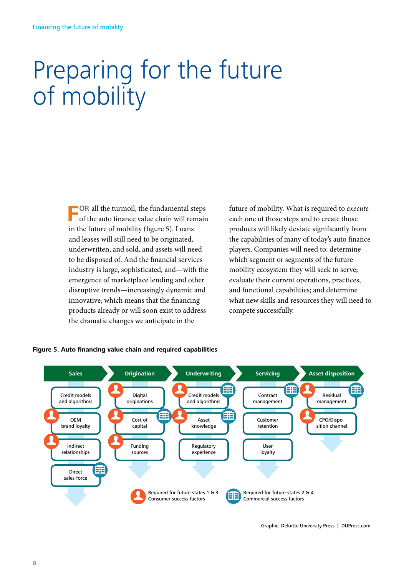# Preparing for the future of mobility

**F**OR all the turmoil, the fundamental steps of the auto finance value chain will remain in the future of mobility (figure 5). Loans and leases will still need to be originated, underwritten, and sold, and assets will need to be disposed of. And the financial services industry is large, sophisticated, and—with the emergence of marketplace lending and other disruptive trends—increasingly dynamic and innovative, which means that the financing products already or will soon exist to address the dramatic changes we anticipate in the

future of mobility. What is required to *execute* each one of those steps and to create those products will likely deviate significantly from the capabilities of many of today's auto finance players. Companies will need to: determine which segment or segments of the future mobility ecosystem they will seek to serve; evaluate their current operations, practices, and functional capabilities; and determine what new skills and resources they will need to compete successfully.



#### **Figure 5. Auto financing value chain and required capabilities**

Graphic: Deloitte University Press | DUPress.com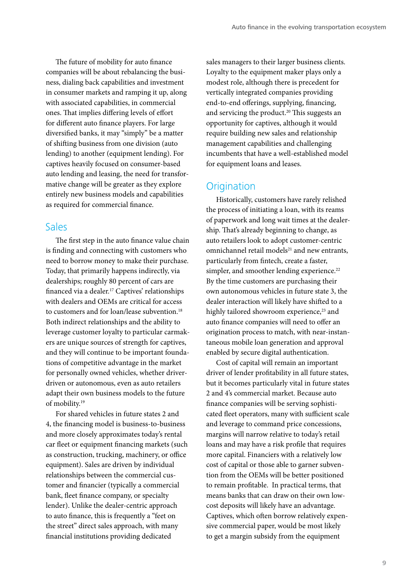The future of mobility for auto finance companies will be about rebalancing the business, dialing back capabilities and investment in consumer markets and ramping it up, along with associated capabilities, in commercial ones. That implies differing levels of effort for different auto finance players. For large diversified banks, it may "simply" be a matter of shifting business from one division (auto lending) to another (equipment lending). For captives heavily focused on consumer-based auto lending and leasing, the need for transformative change will be greater as they explore entirely new business models and capabilities as required for commercial finance.

#### Sales

The first step in the auto finance value chain is finding and connecting with customers who need to borrow money to make their purchase. Today, that primarily happens indirectly, via dealerships; roughly 80 percent of cars are financed via a dealer.17 Captives' relationships with dealers and OEMs are critical for access to customers and for loan/lease subvention.<sup>18</sup> Both indirect relationships and the ability to leverage customer loyalty to particular carmakers are unique sources of strength for captives, and they will continue to be important foundations of competitive advantage in the market for personally owned vehicles, whether driverdriven or autonomous, even as auto retailers adapt their own business models to the future of mobility.19

For shared vehicles in future states 2 and 4, the financing model is business-to-business and more closely approximates today's rental car fleet or equipment financing markets (such as construction, trucking, machinery, or office equipment). Sales are driven by individual relationships between the commercial customer and financier (typically a commercial bank, fleet finance company, or specialty lender). Unlike the dealer-centric approach to auto finance, this is frequently a "feet on the street" direct sales approach, with many financial institutions providing dedicated

sales managers to their larger business clients. Loyalty to the equipment maker plays only a modest role, although there is precedent for vertically integrated companies providing end-to-end offerings, supplying, financing, and servicing the product.20 This suggests an opportunity for captives, although it would require building new sales and relationship management capabilities and challenging incumbents that have a well-established model for equipment loans and leases.

### **Origination**

Historically, customers have rarely relished the process of initiating a loan, with its reams of paperwork and long wait times at the dealership. That's already beginning to change, as auto retailers look to adopt customer-centric omnichannel retail models<sup>21</sup> and new entrants, particularly from fintech, create a faster, simpler, and smoother lending experience.<sup>22</sup> By the time customers are purchasing their own autonomous vehicles in future state 3, the dealer interaction will likely have shifted to a highly tailored showroom experience,<sup>23</sup> and auto finance companies will need to offer an origination process to match, with near-instantaneous mobile loan generation and approval enabled by secure digital authentication.

Cost of capital will remain an important driver of lender profitability in all future states, but it becomes particularly vital in future states 2 and 4's commercial market. Because auto finance companies will be serving sophisticated fleet operators, many with sufficient scale and leverage to command price concessions, margins will narrow relative to today's retail loans and may have a risk profile that requires more capital. Financiers with a relatively low cost of capital or those able to garner subvention from the OEMs will be better positioned to remain profitable. In practical terms, that means banks that can draw on their own lowcost deposits will likely have an advantage. Captives, which often borrow relatively expensive commercial paper, would be most likely to get a margin subsidy from the equipment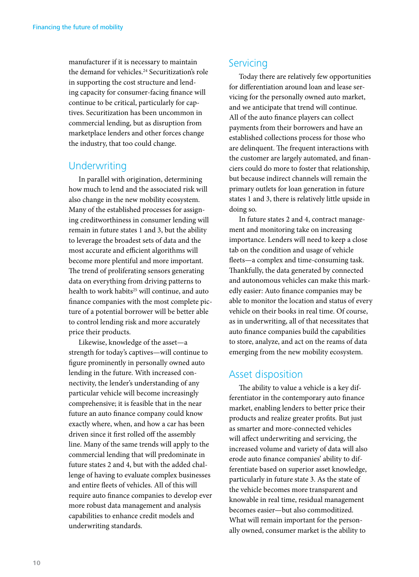manufacturer if it is necessary to maintain the demand for vehicles.<sup>24</sup> Securitization's role in supporting the cost structure and lending capacity for consumer-facing finance will continue to be critical, particularly for captives. Securitization has been uncommon in commercial lending, but as disruption from marketplace lenders and other forces change the industry, that too could change.

### **Underwriting**

In parallel with origination, determining how much to lend and the associated risk will also change in the new mobility ecosystem. Many of the established processes for assigning creditworthiness in consumer lending will remain in future states 1 and 3, but the ability to leverage the broadest sets of data and the most accurate and efficient algorithms will become more plentiful and more important. The trend of proliferating sensors generating data on everything from driving patterns to health to work habits<sup>25</sup> will continue, and auto finance companies with the most complete picture of a potential borrower will be better able to control lending risk and more accurately price their products.

Likewise, knowledge of the asset—a strength for today's captives—will continue to figure prominently in personally owned auto lending in the future. With increased connectivity, the lender's understanding of any particular vehicle will become increasingly comprehensive; it is feasible that in the near future an auto finance company could know exactly where, when, and how a car has been driven since it first rolled off the assembly line. Many of the same trends will apply to the commercial lending that will predominate in future states 2 and 4, but with the added challenge of having to evaluate complex businesses and entire fleets of vehicles. All of this will require auto finance companies to develop ever more robust data management and analysis capabilities to enhance credit models and underwriting standards.

### **Servicing**

Today there are relatively few opportunities for differentiation around loan and lease servicing for the personally owned auto market, and we anticipate that trend will continue. All of the auto finance players can collect payments from their borrowers and have an established collections process for those who are delinquent. The frequent interactions with the customer are largely automated, and financiers could do more to foster that relationship, but because indirect channels will remain the primary outlets for loan generation in future states 1 and 3, there is relatively little upside in doing so.

In future states 2 and 4, contract management and monitoring take on increasing importance. Lenders will need to keep a close tab on the condition and usage of vehicle fleets—a complex and time-consuming task. Thankfully, the data generated by connected and autonomous vehicles can make this markedly easier: Auto finance companies may be able to monitor the location and status of every vehicle on their books in real time. Of course, as in underwriting, all of that necessitates that auto finance companies build the capabilities to store, analyze, and act on the reams of data emerging from the new mobility ecosystem.

### Asset disposition

The ability to value a vehicle is a key differentiator in the contemporary auto finance market, enabling lenders to better price their products and realize greater profits. But just as smarter and more-connected vehicles will affect underwriting and servicing, the increased volume and variety of data will also erode auto finance companies' ability to differentiate based on superior asset knowledge, particularly in future state 3. As the state of the vehicle becomes more transparent and knowable in real time, residual management becomes easier—but also commoditized. What will remain important for the personally owned, consumer market is the ability to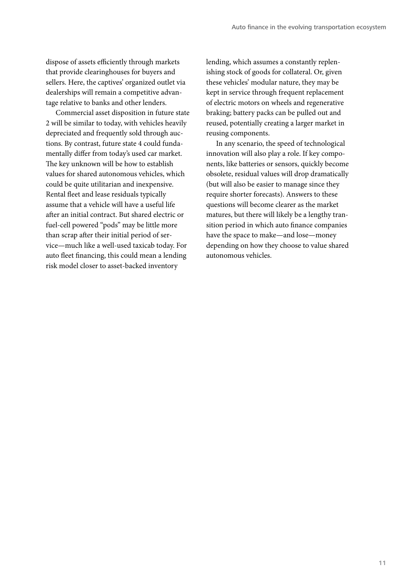dispose of assets efficiently through markets that provide clearinghouses for buyers and sellers. Here, the captives' organized outlet via dealerships will remain a competitive advantage relative to banks and other lenders.

Commercial asset disposition in future state 2 will be similar to today, with vehicles heavily depreciated and frequently sold through auctions. By contrast, future state 4 could fundamentally differ from today's used car market. The key unknown will be how to establish values for shared autonomous vehicles, which could be quite utilitarian and inexpensive. Rental fleet and lease residuals typically assume that a vehicle will have a useful life after an initial contract. But shared electric or fuel-cell powered "pods" may be little more than scrap after their initial period of service—much like a well-used taxicab today. For auto fleet financing, this could mean a lending risk model closer to asset-backed inventory

lending, which assumes a constantly replenishing stock of goods for collateral. Or, given these vehicles' modular nature, they may be kept in service through frequent replacement of electric motors on wheels and regenerative braking; battery packs can be pulled out and reused, potentially creating a larger market in reusing components.

In any scenario, the speed of technological innovation will also play a role. If key components, like batteries or sensors, quickly become obsolete, residual values will drop dramatically (but will also be easier to manage since they require shorter forecasts). Answers to these questions will become clearer as the market matures, but there will likely be a lengthy transition period in which auto finance companies have the space to make—and lose—money depending on how they choose to value shared autonomous vehicles.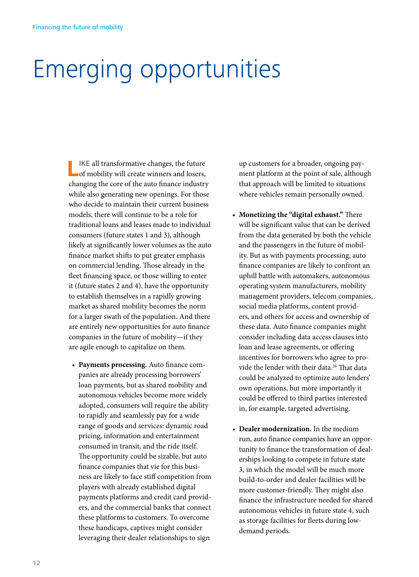## Emerging opportunities

**LIKE all transformative changes, the future of mobility will create winners and losers,** changing the core of the auto finance industry while also generating new openings. For those who decide to maintain their current business models, there will continue to be a role for traditional loans and leases made to individual consumers (future states 1 and 3), although likely at significantly lower volumes as the auto finance market shifts to put greater emphasis on commercial lending. Those already in the fleet financing space, or those willing to enter it (future states 2 and 4), have the opportunity to establish themselves in a rapidly growing market as shared mobility becomes the norm for a larger swath of the population. And there are entirely new opportunities for auto finance companies in the future of mobility—if they are agile enough to capitalize on them.

• **Payments processing.** Auto finance companies are already processing borrowers' loan payments, but as shared mobility and autonomous vehicles become more widely adopted, consumers will require the ability to rapidly and seamlessly pay for a wide range of goods and services: dynamic road pricing, information and entertainment consumed in transit, and the ride itself. The opportunity could be sizable, but auto finance companies that vie for this business are likely to face stiff competition from players with already established digital payments platforms and credit card providers, and the commercial banks that connect these platforms to customers. To overcome these handicaps, captives might consider leveraging their dealer relationships to sign

up customers for a broader, ongoing payment platform at the point of sale, although that approach will be limited to situations where vehicles remain personally owned.

- **Monetizing the "digital exhaust."** There will be significant value that can be derived from the data generated by both the vehicle and the passengers in the future of mobility. But as with payments processing, auto finance companies are likely to confront an uphill battle with automakers, autonomous operating system manufacturers, mobility management providers, telecom companies, social media platforms, content providers, and others for access and ownership of these data. Auto finance companies might consider including data access clauses into loan and lease agreements, or offering incentives for borrowers who agree to provide the lender with their data.<sup>26</sup> That data could be analyzed to optimize auto lenders' own operations, but more importantly it could be offered to third parties interested in, for example, targeted advertising.
- **Dealer modernization.** In the medium run, auto finance companies have an opportunity to finance the transformation of dealerships looking to compete in future state 3, in which the model will be much more build-to-order and dealer facilities will be more customer-friendly. They might also finance the infrastructure needed for shared autonomous vehicles in future state 4, such as storage facilities for fleets during lowdemand periods.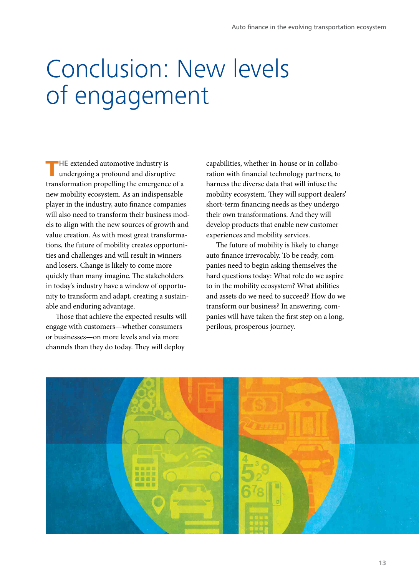## Conclusion: New levels of engagement

**HE** extended automotive industry is undergoing a profound and disruptive transformation propelling the emergence of a new mobility ecosystem. As an indispensable player in the industry, auto finance companies will also need to transform their business models to align with the new sources of growth and value creation. As with most great transformations, the future of mobility creates opportunities and challenges and will result in winners and losers. Change is likely to come more quickly than many imagine. The stakeholders in today's industry have a window of opportunity to transform and adapt, creating a sustainable and enduring advantage.

Those that achieve the expected results will engage with customers—whether consumers or businesses—on more levels and via more channels than they do today. They will deploy

capabilities, whether in-house or in collaboration with financial technology partners, to harness the diverse data that will infuse the mobility ecosystem. They will support dealers' short-term financing needs as they undergo their own transformations. And they will develop products that enable new customer experiences and mobility services.

The future of mobility is likely to change auto finance irrevocably. To be ready, companies need to begin asking themselves the hard questions today: What role do we aspire to in the mobility ecosystem? What abilities and assets do we need to succeed? How do we transform our business? In answering, companies will have taken the first step on a long, perilous, prosperous journey.

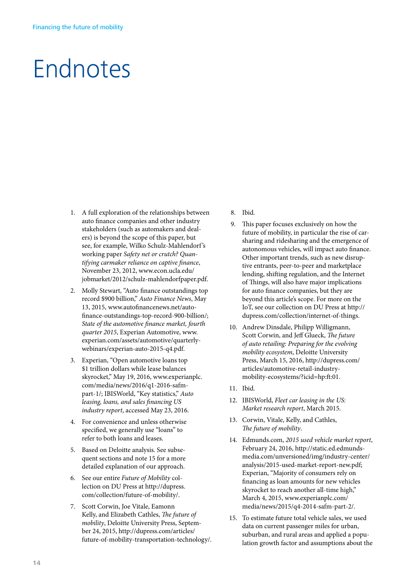## Endnotes

- 1. A full exploration of the relationships between auto finance companies and other industry stakeholders (such as automakers and dealers) is beyond the scope of this paper, but see, for example, Wilko Schulz-Mahlendorf 's working paper *Safety net or crutch? Quantifying carmaker reliance on captive finance*, November 23, 2012, www.econ.ucla.edu/ jobmarket/2012/schulz-mahlendorfpaper.pdf.
- 2. Molly Stewart, "Auto finance outstandings top record \$900 billion," *Auto Finance News*, May 13, 2015, www.autofinancenews.net/autofinance-outstandings-top-record-900-billion/; *State of the automotive finance market, fourth quarter 2015*, Experian Automotive, www. experian.com/assets/automotive/quarterlywebinars/experian-auto-2015-q4.pdf.
- 3. Experian, "Open automotive loans top \$1 trillion dollars while lease balances skyrocket," May 19, 2016, www.experianplc. com/media/news/2016/q1-2016-safmpart-1/; IBISWorld, "Key statistics," *Auto leasing, loans, and sales financing US industry report*, accessed May 23, 2016.
- 4. For convenience and unless otherwise specified, we generally use "loans" to refer to both loans and leases.
- 5. Based on Deloitte analysis. See subsequent sections and note 15 for a more detailed explanation of our approach.
- 6. See our entire *Future of Mobility* collection on DU Press at http://dupress. com/collection/future-of-mobility/.
- 7. Scott Corwin, Joe Vitale, Eamonn Kelly, and Elizabeth Cathles, *The future of mobility*, Deloitte University Press, September 24, 2015, http://dupress.com/articles/ future-of-mobility-transportation-technology/.
- 8. Ibid.
- 9. This paper focuses exclusively on how the future of mobility, in particular the rise of carsharing and ridesharing and the emergence of autonomous vehicles, will impact auto finance. Other important trends, such as new disruptive entrants, peer-to-peer and marketplace lending, shifting regulation, and the Internet of Things, will also have major implications for auto finance companies, but they are beyond this article's scope. For more on the IoT, see our collection on DU Press at http:// dupress.com/collection/internet-of-things.
- 10. Andrew Dinsdale, Philipp Willigmann, Scott Corwin, and Jeff Glueck, *The future of auto retailing: Preparing for the evolving mobility ecosystem*, Deloitte University Press, March 15, 2016, http://dupress.com/ articles/automotive-retail-industrymobility-ecosystems/?icid=hp:ft:01.
- 11. Ibid.
- 12. IBISWorld, *Fleet car leasing in the US: Market research report*, March 2015.
- 13. Corwin, Vitale, Kelly, and Cathles, *The future of mobility*.
- 14. Edmunds.com, *2015 used vehicle market report*, February 24, 2016, http://static.ed.edmundsmedia.com/unversioned/img/industry-center/ analysis/2015-used-market-report-new.pdf; Experian, "Majority of consumers rely on financing as loan amounts for new vehicles skyrocket to reach another all-time high," March 4, 2015, www.experianplc.com/ media/news/2015/q4-2014-safm-part-2/.
- 15. To estimate future total vehicle sales, we used data on current passenger miles for urban, suburban, and rural areas and applied a population growth factor and assumptions about the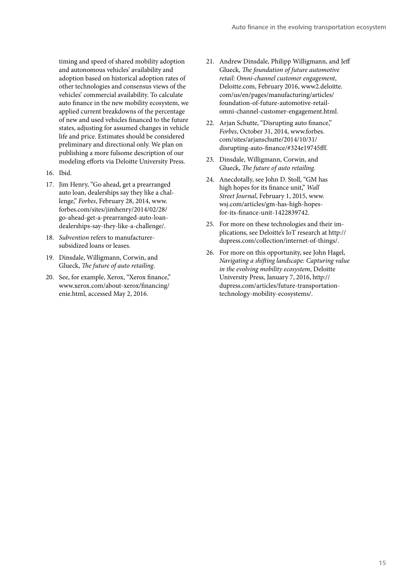timing and speed of shared mobility adoption and autonomous vehicles' availability and adoption based on historical adoption rates of other technologies and consensus views of the vehicles' commercial availability. To calculate auto finance in the new mobility ecosystem, we applied current breakdowns of the percentage of new and used vehicles financed to the future states, adjusting for assumed changes in vehicle life and price. Estimates should be considered preliminary and directional only. We plan on publishing a more fulsome description of our modeling efforts via Deloitte University Press.

- 16. Ibid.
- 17. Jim Henry, "Go ahead, get a prearranged auto loan, dealerships say they like a challenge," *Forbes*, February 28, 2014, www. forbes.com/sites/jimhenry/2014/02/28/ go-ahead-get-a-prearranged-auto-loandealerships-say-they-like-a-challenge/.
- 18. *Subvention* refers to manufacturersubsidized loans or leases.
- 19. Dinsdale, Willigmann, Corwin, and Glueck, *The future of auto retailing*.
- 20. See, for example, Xerox, "Xerox finance," www.xerox.com/about-xerox/financing/ enie.html, accessed May 2, 2016.
- 21. Andrew Dinsdale, Philipp Willigmann, and Jeff Glueck, *The foundation of future automotive retail: Omni-channel customer engagement*, Deloitte.com, February 2016, www2.deloitte. com/us/en/pages/manufacturing/articles/ foundation-of-future-automotive-retailomni-channel-customer-engagement.html.
- 22. Arjan Schutte, "Disrupting auto finance," *Forbes*, October 31, 2014, www.forbes. com/sites/arjanschutte/2014/10/31/ disrupting-auto-finance/#324e19745fff.
- 23. Dinsdale, Willigmann, Corwin, and Glueck, *The future of auto retailing*.
- 24. Anecdotally, see John D. Stoll, "GM has high hopes for its finance unit," *Wall Street Journal*, February 1, 2015, www. wsj.com/articles/gm-has-high-hopesfor-its-finance-unit-1422839742.
- 25. For more on these technologies and their implications, see Deloitte's IoT research at http:// dupress.com/collection/internet-of-things/.
- 26. For more on this opportunity, see John Hagel, *Navigating a shifting landscape: Capturing value in the evolving mobility ecosystem*, Deloitte University Press, January 7, 2016, http:// dupress.com/articles/future-transportationtechnology-mobility-ecosystems/.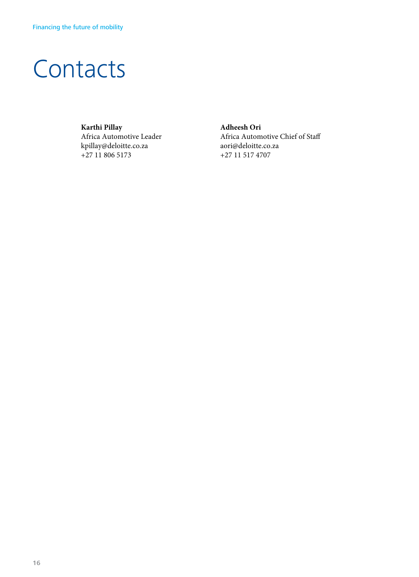## **Contacts**

**Karthi Pillay** Africa Automotive Leader kpillay@deloitte.co.za +27 11 806 5173

**Adheesh Ori** Africa Automotive Chief of Sta aori@deloitte.co.za +27 11 517 4707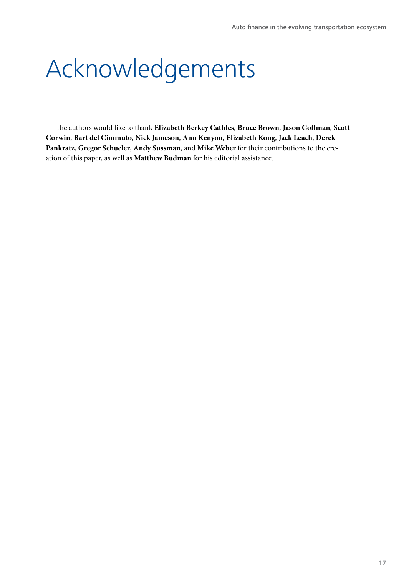## Acknowledgements

The authors would like to thank **Elizabeth Berkey Cathles**, **Bruce Brown**, **Jason Coffman**, **Scott Corwin**, **Bart del Cimmuto**, **Nick Jameson**, **Ann Kenyon**, **Elizabeth Kong**, **Jack Leach**, **Derek Pankratz**, **Gregor Schueler**, **Andy Sussman**, and **Mike Weber** for their contributions to the creation of this paper, as well as **Matthew Budman** for his editorial assistance.